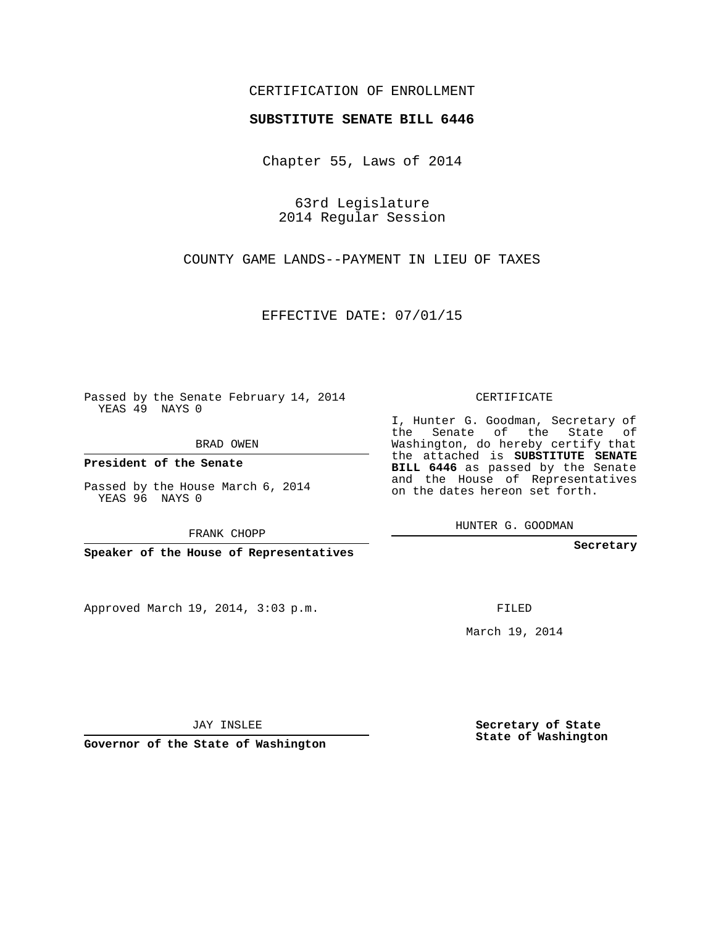## CERTIFICATION OF ENROLLMENT

## **SUBSTITUTE SENATE BILL 6446**

Chapter 55, Laws of 2014

63rd Legislature 2014 Regular Session

COUNTY GAME LANDS--PAYMENT IN LIEU OF TAXES

EFFECTIVE DATE: 07/01/15

Passed by the Senate February 14, 2014 YEAS 49 NAYS 0

BRAD OWEN

**President of the Senate**

Passed by the House March 6, 2014 YEAS 96 NAYS 0

FRANK CHOPP

**Speaker of the House of Representatives**

Approved March 19, 2014, 3:03 p.m.

CERTIFICATE

I, Hunter G. Goodman, Secretary of the Senate of the State of Washington, do hereby certify that the attached is **SUBSTITUTE SENATE BILL 6446** as passed by the Senate and the House of Representatives on the dates hereon set forth.

HUNTER G. GOODMAN

**Secretary**

FILED

March 19, 2014

**Secretary of State State of Washington**

JAY INSLEE

**Governor of the State of Washington**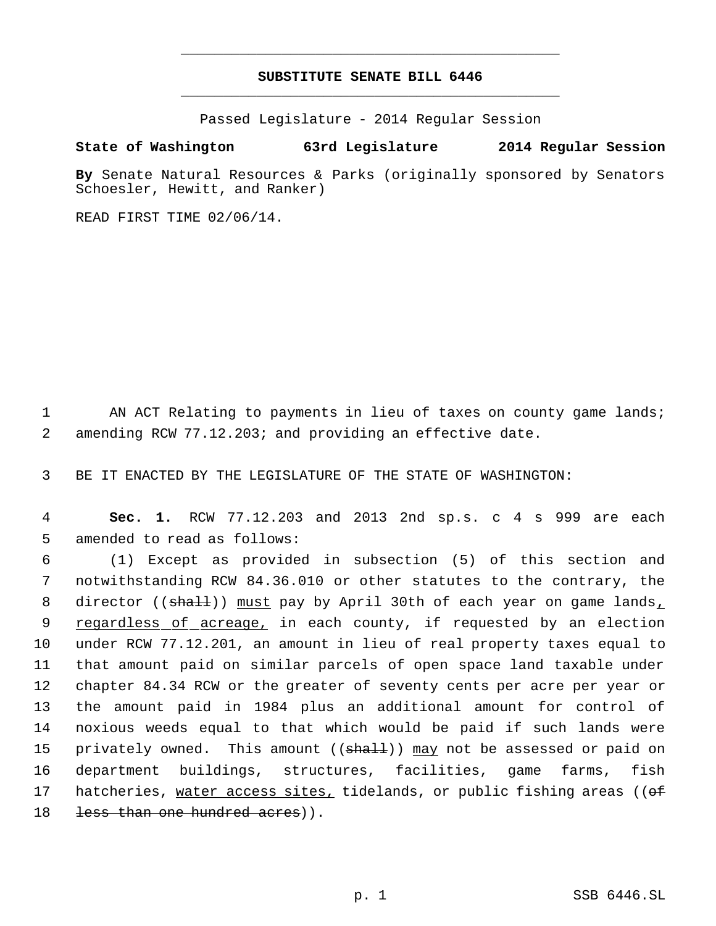## **SUBSTITUTE SENATE BILL 6446** \_\_\_\_\_\_\_\_\_\_\_\_\_\_\_\_\_\_\_\_\_\_\_\_\_\_\_\_\_\_\_\_\_\_\_\_\_\_\_\_\_\_\_\_\_

\_\_\_\_\_\_\_\_\_\_\_\_\_\_\_\_\_\_\_\_\_\_\_\_\_\_\_\_\_\_\_\_\_\_\_\_\_\_\_\_\_\_\_\_\_

Passed Legislature - 2014 Regular Session

## **State of Washington 63rd Legislature 2014 Regular Session**

**By** Senate Natural Resources & Parks (originally sponsored by Senators Schoesler, Hewitt, and Ranker)

READ FIRST TIME 02/06/14.

1 AN ACT Relating to payments in lieu of taxes on county game lands; 2 amending RCW 77.12.203; and providing an effective date.

3 BE IT ENACTED BY THE LEGISLATURE OF THE STATE OF WASHINGTON:

 4 **Sec. 1.** RCW 77.12.203 and 2013 2nd sp.s. c 4 s 999 are each 5 amended to read as follows:

 (1) Except as provided in subsection (5) of this section and notwithstanding RCW 84.36.010 or other statutes to the contrary, the 8 director ((shall)) must pay by April 30th of each year on game lands, 9 regardless of acreage, in each county, if requested by an election under RCW 77.12.201, an amount in lieu of real property taxes equal to that amount paid on similar parcels of open space land taxable under chapter 84.34 RCW or the greater of seventy cents per acre per year or the amount paid in 1984 plus an additional amount for control of noxious weeds equal to that which would be paid if such lands were 15 privately owned. This amount ((<del>shall</del>)) <u>may</u> not be assessed or paid on department buildings, structures, facilities, game farms, fish 17 hatcheries, water access sites, tidelands, or public fishing areas ((of 18 less than one hundred acres)).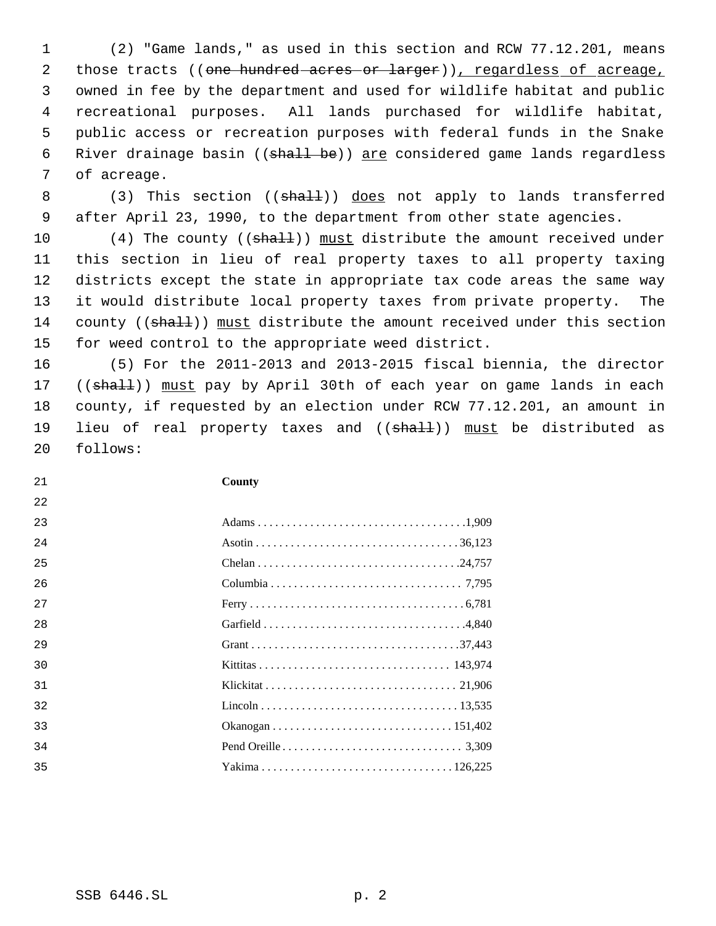(2) "Game lands," as used in this section and RCW 77.12.201, means 2 those tracts ((one hundred acres or larger)), regardless of acreage, owned in fee by the department and used for wildlife habitat and public recreational purposes. All lands purchased for wildlife habitat, public access or recreation purposes with federal funds in the Snake 6 River drainage basin ((shall be)) are considered game lands regardless of acreage.

8 (3) This section ((shall)) does not apply to lands transferred after April 23, 1990, to the department from other state agencies.

10 (4) The county ((shall)) must distribute the amount received under this section in lieu of real property taxes to all property taxing districts except the state in appropriate tax code areas the same way it would distribute local property taxes from private property. The 14 county ((shall)) must distribute the amount received under this section for weed control to the appropriate weed district.

 (5) For the 2011-2013 and 2013-2015 fiscal biennia, the director 17 ((shall)) must pay by April 30th of each year on game lands in each county, if requested by an election under RCW 77.12.201, an amount in 19 lieu of real property taxes and ((shall)) must be distributed as follows:

| 21 | County |
|----|--------|
| 22 |        |
| 23 |        |
| 24 |        |
| 25 |        |
| 26 |        |
| 27 |        |
| 28 |        |
| 29 |        |
| 30 |        |
| 31 |        |
| 32 |        |
| 33 |        |
| 34 |        |
| 35 |        |